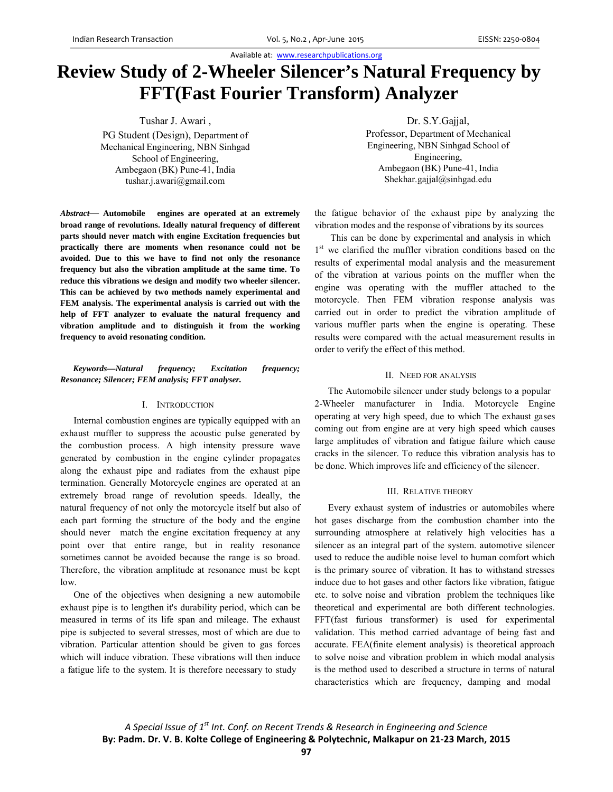Available at: www.researchpublications.org

# **Review Study of 2-Wheeler Silencer's Natural Frequency by FFT(Fast Fourier Transform) Analyzer**

Tushar J. Awari ,

PG Student (Design), Department of Mechanical Engineering, NBN Sinhgad School of Engineering, Ambegaon (BK) Pune-41, India tushar.j.awari@gmail.com

*Abstract*— **Automobile engines are operated at an extremely broad range of revolutions. Ideally natural frequency of different parts should never match with engine Excitation frequencies but practically there are moments when resonance could not be avoided. Due to this we have to find not only the resonance frequency but also the vibration amplitude at the same time. To reduce this vibrations we design and modify two wheeler silencer. This can be achieved by two methods namely experimental and FEM analysis. The experimental analysis is carried out with the help of FFT analyzer to evaluate the natural frequency and vibration amplitude and to distinguish it from the working frequency to avoid resonating condition.**

### *Keywords—Natural frequency; Excitation frequency; Resonance; Silencer; FEM analysis; FFT analyser.*

## I. INTRODUCTION

Internal combustion engines are typically equipped with an exhaust muffler to suppress the acoustic pulse generated by the combustion process. A high intensity pressure wave generated by combustion in the engine cylinder propagates along the exhaust pipe and radiates from the exhaust pipe termination. Generally Motorcycle engines are operated at an extremely broad range of revolution speeds. Ideally, the natural frequency of not only the motorcycle itself but also of each part forming the structure of the body and the engine should never match the engine excitation frequency at any point over that entire range, but in reality resonance sometimes cannot be avoided because the range is so broad. Therefore, the vibration amplitude at resonance must be kept low.

One of the objectives when designing a new automobile exhaust pipe is to lengthen it's durability period, which can be measured in terms of its life span and mileage. The exhaust pipe is subjected to several stresses, most of which are due to vibration. Particular attention should be given to gas forces which will induce vibration. These vibrations will then induce a fatigue life to the system. It is therefore necessary to study

Dr. S.Y.Gajjal, Professor, Department of Mechanical Engineering, NBN Sinhgad School of Engineering, Ambegaon (BK) Pune-41, India Shekhar.gajjal@sinhgad.edu

the fatigue behavior of the exhaust pipe by analyzing the vibration modes and the response of vibrations by its sources

This can be done by experimental and analysis in which 1<sup>st</sup> we clarified the muffler vibration conditions based on the results of experimental modal analysis and the measurement of the vibration at various points on the muffler when the engine was operating with the muffler attached to the motorcycle. Then FEM vibration response analysis was carried out in order to predict the vibration amplitude of various muffler parts when the engine is operating. These results were compared with the actual measurement results in order to verify the effect of this method.

# II. NEED FOR ANALYSIS

The Automobile silencer under study belongs to a popular 2-Wheeler manufacturer in India. Motorcycle Engine operating at very high speed, due to which The exhaust gases coming out from engine are at very high speed which causes large amplitudes of vibration and fatigue failure which cause cracks in the silencer. To reduce this vibration analysis has to be done. Which improves life and efficiency of the silencer.

#### III. RELATIVE THEORY

Every exhaust system of industries or automobiles where hot gases discharge from the combustion chamber into the surrounding atmosphere at relatively high velocities has a silencer as an integral part of the system. automotive silencer used to reduce the audible noise level to human comfort which is the primary source of vibration. It has to withstand stresses induce due to hot gases and other factors like vibration, fatigue etc. to solve noise and vibration problem the techniques like theoretical and experimental are both different technologies. FFT(fast furious transformer) is used for experimental validation. This method carried advantage of being fast and accurate. FEA(finite element analysis) is theoretical approach to solve noise and vibration problem in which modal analysis is the method used to described a structure in terms of natural characteristics which are frequency, damping and modal

*A Special Issue of 1st Int. Conf. on Recent Trends & Research in Engineering and Science* **By: Padm. Dr. V. B. Kolte College of Engineering & Polytechnic, Malkapur on 21‐23 March, 2015**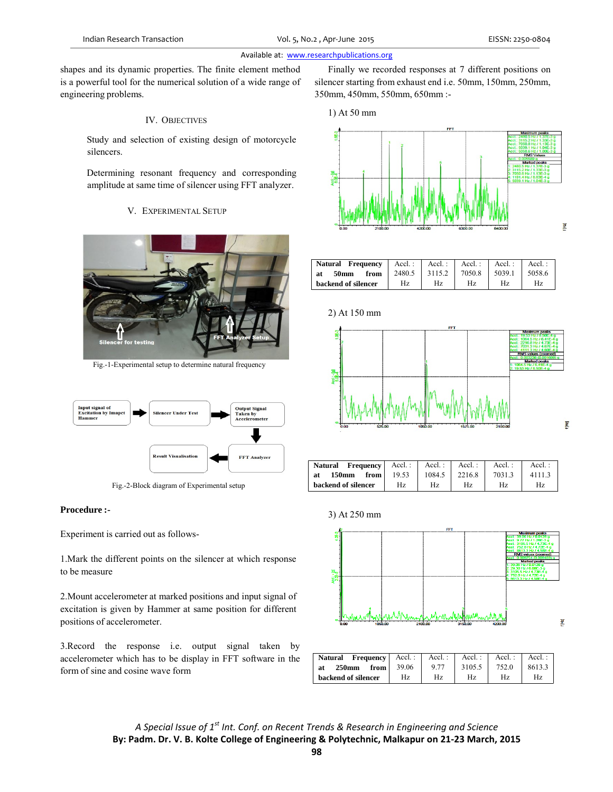# Available at: www.researchpublications.org

shapes and its dynamic properties. The finite element method is a powerful tool for the numerical solution of a wide range of engineering problems.

## IV. OBJECTIVES

 Study and selection of existing design of motorcycle silencers.

 Determining resonant frequency and corresponding amplitude at same time of silencer using FFT analyzer.

## V. EXPERIMENTAL SETUP



Fig.-1-Experimental setup to determine natural frequency



Fig.-2-Block diagram of Experimental setup

## **Procedure :-**

Experiment is carried out as follows-

1.Mark the different points on the silencer at which response to be measure

2.Mount accelerometer at marked positions and input signal of excitation is given by Hammer at same position for different positions of accelerometer.

3.Record the response i.e. output signal taken by accelerometer which has to be display in FFT software in the form of sine and cosine wave form

Finally we recorded responses at 7 different positions on silencer starting from exhaust end i.e. 50mm, 150mm, 250mm, 350mm, 450mm, 550mm, 650mm :-



2) At 150 mm



| <b>Natural Frequency</b>  | $Accl$ : | $Accl$ : | Accl.: | Accl.: | $Accl$ : |
|---------------------------|----------|----------|--------|--------|----------|
| <b>50mm</b><br>from<br>at | 2480.5   | 3115.2   | 7050.8 | 5039.1 | 5058.6   |
| backend of silencer       | Hz.      | Hz.      | Hz     | Hz     | Hz       |



| Natural<br><b>Frequency</b>         | Accl. : $\vert$ | $Accl$ : | Accl.: | $Accl$ : | $Accl.$ : |
|-------------------------------------|-----------------|----------|--------|----------|-----------|
| <b>150mm</b><br>from  <br><b>at</b> | 19.53           | 1084.5   | 2216.8 | 7031.3   | 4111.3    |
| backend of silencer                 | Hz              | Hz       | Hz     | Hz       | Hz        |



| <b>Frequency</b> $\left $ Accl.:<br>Natural |       | Accl. $:$ | Accl.: | Accl. : | Accl.: |
|---------------------------------------------|-------|-----------|--------|---------|--------|
| $250$ mm<br>from $\vert$<br>at              | 39.06 | 9.77      | 3105.5 | 752.0   | 8613.3 |
| backend of silencer                         | Hz    | Hz        | Hz     | Hz      | Hz     |

*A Special Issue of 1st Int. Conf. on Recent Trends & Research in Engineering and Science* **By: Padm. Dr. V. B. Kolte College of Engineering & Polytechnic, Malkapur on 21‐23 March, 2015** f [Hz]